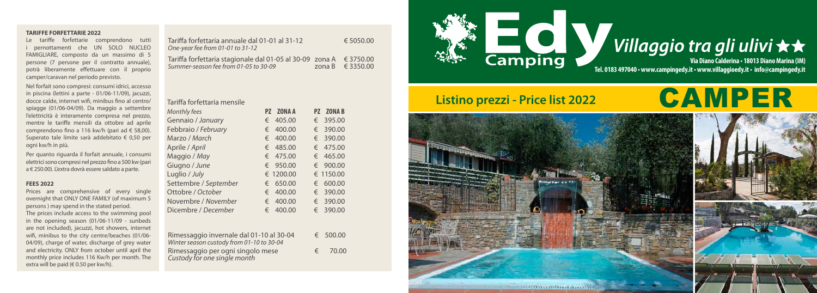| Tariffa forfettaria annuale dal 01-01 al 31-12<br>One-year fee from 01-01 to 31-12                          | € 5050.00            |
|-------------------------------------------------------------------------------------------------------------|----------------------|
| Tariffa forfettaria stagionale dal 01-05 al 30-09 zona A € 3750.00<br>Summer-season fee from 01-05 to 30-09 | zona B $\in$ 3350.00 |

### Tariffa forfettaria mensile

| <b>Monthly fees</b>   | PZ.        | <b>ZONA A</b> |   | PZ ZONA B |
|-----------------------|------------|---------------|---|-----------|
| Gennaio / January     | €          | 405.00        |   | € 395.00  |
| Febbraio / February   | €          | 400.00        |   | € 390.00  |
| Marzo / March         | €          | 400.00        |   | € 390.00  |
| Aprile / April        | €          | 485.00        |   | € 475.00  |
| Maggio / May          | €          | 475.00        |   | € 465.00  |
| Giugno / June         | $\epsilon$ | 950.00        |   | € 900.00  |
| Luglio / July         |            | € 1200.00     |   | € 1150.00 |
| Settembre / September | €          | 650.00        | € | 600.00    |
| Ottobre / October     | €          | 400.00        |   | € 390.00  |
| Novembre / November   | €          | 400.00        | € | 390.00    |
| Dicembre / December   | €          | 400.00        | € | 390.00    |

| Rimessaggio invernale dal 01-10 al 30-04<br>Winter season custody from 01-10 to 30-04 |            | € 500.00 |
|---------------------------------------------------------------------------------------|------------|----------|
| Rimessaggio per ogni singolo mese<br>Custody for one single month                     | $\epsilon$ | 70.00    |

## **TARIFFE FORFETTARIE 2022**

Prices are comprehensive of every single overnight that ONLY ONE FAMILY (of maximum 5 persons ) may spend in the stated period. The prices include access to the swimming pool in the opening season (01/06-11/09 - sunbeds are not included), jacuzzi, hot showers, internet wifi, minibus to the city centre/beaches (01/06- 04/09), charge of water, discharge of grey water and electricity. ONLY from october until april the monthly price includes 116 Kw/h per month. The extra will be paid ( $\in$  0.50 per kw/h).

Le tariffe forfettarie comprendono tutti i pernottamenti che UN SOLO NUCLEO FAMIGLIARE, composto da un massimo di 5 persone (7 persone per il contratto annuale), potrà liberamente effettuare con il proprio camper/caravan nel periodo previsto.

Nel forfait sono compresi: consumi idrici, accesso in piscina (lettini a parte - 01/06-11/09), jacuzzi, docce calde, internet wifi, minibus fino al centro/ spiagge (01/06-04/09). Da maggio a settembre l'elettricità è interamente compresa nel prezzo, mentre le tariffe mensili da ottobre ad aprile comprendono fino a 116 kw/h (pari ad € 58,00). Superato tale limite sarà addebitato € 0,50 per ogni kw/h in più.

Per quanto riguarda il forfait annuale, i consumi elettrici sono compresi nel prezzo fino a 500 kw (pari a € 250.00). L'extra dovrà essere saldato a parte.

# **FEES 2022**

**Via Diano Calderina • 18013 Diano Marina (IM)**

# Listino prezzi - Price list 2022<br> **CAMPER**





# Villaggio tra gli ulivi ★★